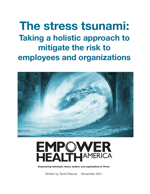**The stress tsunami: Taking a holistic approach to mitigate the risk to employees and organizations** 





**Empowering individuals, teams, leaders, and organizations to Thrive.**

Written by Terrie Reeves. November 2021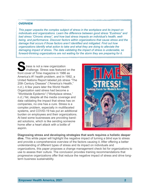#### **OVERVIEW**

*This paper unpacks the complex subject of stress in the workplace and its impact on individuals and organizations. Learn the difference between good stress "Eustress" and bad stress "Chronic stress", and how bad stress impacts an individual's health, wellbeing, and performance. Discover factors within organizations that cause stress and the damage that occurs if those factors aren't identified and mitigated. Find out how organizations identify what action to take and what they are doing to alleviate the damaging impact of stress. The data validating the impact of stress is undeniable, so forward-thinking organizations are not waiting for the storm they are preparing for it.* 

tress is not a new organization challenge. Stress was featured on the front cover of Time magazine in 1986 as America's #1 health problem, and in 1992, a United Nations Report labeled job stress "The 20th Century Disease" ("America's Health," n.d.). A few years later the World Health Organization said stress had become a "Worldwide Epidemic" ("Workplace stress," n.d.) Yet, despite all the media coverage and data validating the impact that stress has on companies, no one has a cure. Stress is a complex problem, especially in multifaceted systems, and COVID-19 has put an additional burden on employees and their organizations. At best some businesses are providing bandaid solutions, which is like sending someone home after a heart attack with a bottle of aspirin.



**Diagnosing stress and developing strategies that work requires a holistic deeper dive.** This white paper will highlight the negative impact of turning a blind eye to stress and provide a comprehensive overview of the factors causing it. After offering a better understanding of different types of stress and its impact on individuals and organizations, this paper proposes a change management check list for organizations to use to assess their culture. The conclusion provides training recommendations that progressive organizations offer that reduce the negative impact of stress and drive longterm business sustainability.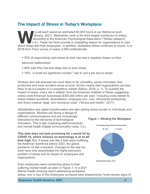# **The Impact of Stress in Today's Workplace**

Evans, 2021). Meanwhile, work is the third largest contributor to streaccording to the American Psychological Association ("Stress research"). These two facts provide a compelling reason for organizations to about stress a (Evans, 2021). Meanwhile, work is the third largest contributor to stress, according to the American Psychological Association ("Stress research," n.d.). These two facts provide a compelling reason for organizations to care about stress and their employees. In addition, workplace stress continues to mount. In a 2018 Korn Ferry survey of nearly 2,000 professionals:

! 76% of respondents said stress at work has had a negative impact on their

personal relationships

- 66% said they had lost sleep due to work stress
- ! 16%, "a small but significant number," had to quit a job due to stress

Workers who are stressed are more likely to be unhealthy, poorly motivated, less productive and more accident prone at work. All this means their organizations are less likely to be successful in a competitive market (Sahoo, 2016, p. 1). To quantify the impact of stress, many cite a statistic from the American Institute of Stress suggesting stress costs American businesses \$300,000 billion per year, "including costs related to stress-related accidents, absenteeism, employee turn- over, diminished productivity, and direct medical, legal, and insurance costs" ("Stress and health," 2017).

Globalization and digital transformation are also adding stress burden to individuals and organizations. Workers are facing a deluge of

different communications and are increasingly distracted by the demands of technological innovation. This is also impacting staff productivity and mental health (Digital communication tools, n.d.).

**This data does not look promising for a world hit by COVID-19, where reliance on technology is at an alltime high.** But, if stress was like a tidal wave buffeting the American workforce before 2020, the global pandemic hit like a tsunami. Changes to the way we work have only exacerbated the highly pervasive problem of stress and its impact on employees and organizations.

Even employees were connecting stress to their suffering mental health as seen in Figure 1. In a 2021 Mental Health America report addressing workplace







stress, one in four of the employees surveyed were experiencing "more severe signs of

**Empower Health America, 2021 3 3**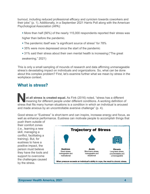burnout, including reduced professional efficacy and cynicism towards coworkers and their jobs" (p. 1). Additionally, in a September 2021 Harris Poll along with the American Psychological Association (APA):

! More than half (56%) of the nearly 115,000 respondents reported their stress was

higher than before the pandemic.

- **.** The pandemic itself was "a significant source of stress" for 78%
- **.** 35% were more depressed since the start of the pandemic
- ! 31% said their stress about their own mental health is increasing ("The great

awakening," 2021)

This is only a small sampling of mounds of research and data affirming unmanageable stress's devastating impact on individuals and organizations. So, what can be done about this complex problem? First, let's examine further what we mean by stress in the workplace context.

## **What is stress?**

**Not all stress is created equal.** As Fink (2016) noted, "stress has a different meaning for different people under different conditions. A working definition of atrees that fite many human eituations is a condition in whi stress that fits many human situations is a condition in which an individual is aroused and made anxious by an uncontrollable aversive challenge" (p. 4).

Good stress or "Eustress" is short-term and can inspire, increase energy and focus, as well as enhance performance. Eustress can motivate people to accomplish things that

push them outside of their comfort zones (i.e., learning a new skill, managing a conflict, facilitating a training). But, for eustress to have a positive impact, the person must believe they have the tools and support to overcome the challenges caused by the stress.

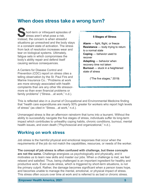# **When does stress take a wrong turn?**

**S**hort-term or infrequent episodes of stress aren't what pose a risk. Instead, the concern is when stressful situations go unresolved and the body stays in a constant state of activation. The stress from lack of resolution increases wear and tear on biological systems. Ultimately, fatigue sets in which compromises the body's ability repair and defend itself causing serious consequences.

A Centers for Disease Control and Prevention (CDC) report on stress cites a telling observation by the St. Paul Fire and Marine Insurance Co.: "Problems at work are more strongly associated with health complaints than are any other life stressormore so than even financial problems or family problems" ("Stress...at work," n.d.).

#### **5 Stages of Stress**

**Alarm** — fight, flight, or freeze **Resistance** — body trying to return to a normal state **Coping** — behavior used to recover **Adapting** — behavior when recovery time not taken **Burnout** — stuck in a heightened state of stress

("The five stages," 2019)

This is reflected also in a Journal of Occupational and Environmental Medicine finding that "health care expenditures are nearly 50% greater for workers who report high levels of stress" (as cited in "Stress…at work," n.d.).

Unmanaged stress is like an afternoon rainstorm that turns into a tsunami. Without the ability to successfully navigate the five stages of stress, individuals suffer its long-term impact which contributes to unhealthy coping habits, chronic conditions, burnout, mental health issues, and even death ("Psychosocial and organizational," n.d.).

## **Working on work stress**

Job stress is the harmful physical and emotional responses that occur when the requirements of the job do not match the capabilities, resources, or needs of the worker.

**The concept of job stress is often confused with challenge, but these concepts are not the same.** Challenge energizes us psychologically and physically, and it motivates us to learn new skills and master our jobs. When a challenge is met, we feel relaxed and satisfied. Thus, being challenged is an important ingredient for healthy and productive work. Even acute stress, which is triggered by short-term situations, is not the primary culprit. Rather, the damage becomes significant when a person loses hope, and becomes unable to manage the mental, emotional, or physical impact of stress. This stress often occurs over time at work and is referred to as bad or chronic stress.

**Empower Health America, 2021 5 12.1 <b>5 5**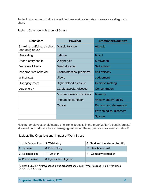Table 1 lists common indicators within three main categories to serve as a diagnostic chart.

### Table 1. Common Indicators of Stress

| <b>Behavioral</b>                             | <b>Physical</b>           | <b>Emotional/Cognitive</b>    |
|-----------------------------------------------|---------------------------|-------------------------------|
| Smoking, caffeine, alcohol,<br>and drug abuse | Muscle tension            | <b>Attitude</b>               |
| Overeating                                    | Fatigue                   | Mood                          |
| Poor dietary habits                           | Weight gain               | <b>Motivation</b>             |
| Decreased libido                              | Sleep disorder            | Self esteem                   |
| Inappropriate behavior                        | Gastrointestinal problems | Self efficacy                 |
| Withdrawal                                    | Ulcers                    | Judgement                     |
| Disengagement                                 | Higher blood pressure     | <b>Decision making</b>        |
| Low energy                                    | Cardiovascular disease    | Concentration                 |
|                                               | Musculoskeletal disorders | <b>Memory</b>                 |
|                                               | Immune dysfunction        | Anxiety and irritability      |
|                                               | Cancer                    | <b>Burnout and depression</b> |
|                                               |                           | Psychological disorders       |
|                                               |                           | <b>Suicide</b>                |

Helping employees avoid states of chronic stress is in the organization's best interest. A stressed out workforce has a damaging impact on the organization as seen in Table 2.

### Table 2. The Organizational Impact of Work Stress

| 1. Job Satisfaction | 5. Well-being              | 9. Short and long-term disability |
|---------------------|----------------------------|-----------------------------------|
| 2. Turnover         | 6. Productivity            | 10. Healthcare cost               |
| 3. Absenteeism      | 7. Turnover                | 11. Company reputation            |
| 4. Presenteeism     | 8. Injuries and litigation |                                   |

(Glazer & Liu, 2017; "Psychosocial and organizational," n.d.; "What is stress," n.d.; "Workplace stress: A silent," n.d)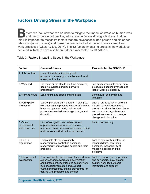# **Factors Driving Stress in the Workplace**

**B**efore we look at what can be done to mitigate the impact of stress on human lives and the corporate bottom line, let's examine factors driving job stress. In doing this it is important to recognize factors that are psychosocial (the person and his or her relationships with others) and those that are more tied to the work environment and work processes (Glazer & Liu, 2017). The 12 factors impacting stress in the workplace depicted in Table 3 have also been further exacerbated by COVID-19.

### Table 3. Factors Impacting Stress in the Workplace

| <b>Factor</b>                               | <b>Cause of Stress</b>                                                                                                                                                                                                                                                  | <b>Exacerbated by COVID-19</b>                                                                                                                                                                  |
|---------------------------------------------|-------------------------------------------------------------------------------------------------------------------------------------------------------------------------------------------------------------------------------------------------------------------------|-------------------------------------------------------------------------------------------------------------------------------------------------------------------------------------------------|
| 1. Job Content                              | Lack of variety, uninspiring and<br>monotonous work, job misalignment, and<br>unpleasant tasks                                                                                                                                                                          |                                                                                                                                                                                                 |
| 2. Workload                                 | Too much or too little to do, time pressures,<br>deadline overload and lack of work<br>predictability                                                                                                                                                                   | Too much or too little to do, time<br>pressures, deadline overload and<br>lack of work predictability                                                                                           |
| 3. Working hours                            | Long hours, and erratic and inflexible                                                                                                                                                                                                                                  | Long hours, and erratic and<br>inflexible                                                                                                                                                       |
| 4. Participation<br>and control             | Lack of participation in decision making i.e.:<br>work design and process, work environment,<br>hours and pace of work, policies and<br>procedures needed to manage change and<br>disruption                                                                            | Lack of participation in decision<br>making i.e.: work design and<br>process, work environment, hours<br>and pace of work, policies and<br>procedures needed to manage<br>change and disruption |
| 5. Career<br>development,<br>status and pay | Lack of recognition and advancement<br>opportunities, under or over promoted,<br>unclear or unfair performance process, being<br>under or over skilled, lack of job security                                                                                            | Lack of job security                                                                                                                                                                            |
| 6. Role in<br>organization                  | Lack of role clarity, unclear job<br>responsibilities, conflicting demands,<br>responsibility of managing people and their<br>problems                                                                                                                                  | Lack of role clarity, unclear job<br>responsibilities, conflicting<br>demands, responsibility of<br>managing people and their<br>problems                                                       |
| 7. Interpersonal<br>relationships           | Poor work relationships, lack of support from<br>supervisor and coworkers, discrimination<br>and harassment, isolation and solitary work,<br>lack of social interaction and support,<br>customer pressures, and no procedures for<br>dealing with problems and conflict | Lack of support from supervisor<br>and coworkers, isolation and<br>solitary work, lack of social<br>interaction and support                                                                     |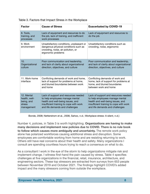| <b>Factor</b>                                                     | <b>Cause of Stress</b>                                                                                                                                                                     | <b>Exacerbated by COVID-19</b>                                                                                                                                                             |
|-------------------------------------------------------------------|--------------------------------------------------------------------------------------------------------------------------------------------------------------------------------------------|--------------------------------------------------------------------------------------------------------------------------------------------------------------------------------------------|
| 8. Tools,<br>training, and<br>processes                           | Lack of equipment and resources to do<br>the job, lack of training, and inefficient<br>work processes                                                                                      | Lack of equipment and resources to<br>do the job                                                                                                                                           |
| 9. Work<br>environment                                            | Unsatisfactory conditions, unpleasant or<br>dangerous physical conditions such as<br>crowding, noise, air pollution, or<br>ergonomic problems                                              | Unsatisfactory conditions such as<br>crowding, noise, ergonomic                                                                                                                            |
| 10 <sub>1</sub><br>Organizational<br>culture                      | Poor communication and leadership,<br>and lack of clarity about organizational<br>direction, objectives, and culture                                                                       | Poor communication and leadership,<br>and lack of clarity about organizational<br>direction, objectives, and culture                                                                       |
| 11. Work-home<br>interface                                        | Conflicting demands of work and home,<br>lack of support for problems at home,<br>and blurred boundaries between work<br>and home                                                          | Conflicting demands of work and<br>home, lack of support for problems at<br>home, and blurred boundaries<br>between work and home                                                          |
| 12. Mental<br>health, well-<br>being, and<br>stress<br>management | Lack of support and resources needed<br>to help employees manage mental<br>health and well-being issues, and<br>insufficient training to cope with work<br>and life demands and challenges | Lack of support and resources needed<br>to help employees manage mental<br>health and well-being issues, and<br>insufficient training to cope with work<br>and life demands and challenges |

#### Table 3. Factors that Impact Stress in the Workplace

Bonde, 2008; Netterstrom et al., 2008, Sahoo, n.d.; Workplace stress: A silent, n.d.)

Number 4, policies, in Table 3 is worth highlighting. **Organizations are having to make many decisions and implement new policies due to COVID. There is no rule book to follow which causes more ambiguity and uncertainty.** The remote work policy alone has polarized workforces causing additional stress and disruption. Some employees are comfortable working from home and are resisting returning to work. Others still have real concerns about their health and safety. Many organizations I consult are spending countless hours trying to reach a consensus on what to do.

As a consultant I work in the eye of the storm to help organizations mitigate risk and implement change. I witness first-hand the pain caused by stress. Table 4 specifies challenges at five organizations in the financial, retail, insurance, architecture, and engineering sectors. These top stressors are extracted from surveys from 653 people between November 2019 and October 2021. The findings highlight COVID's added impact and the many stressors coming from outside the workplace.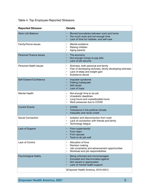| <b>Reported Stressor</b>       | <b>Details</b>                                                                                                                                                                                        |
|--------------------------------|-------------------------------------------------------------------------------------------------------------------------------------------------------------------------------------------------------|
| <b>Work-Life Balance</b>       | Blurred boundaries between work and home<br>Too much work and not enough time<br>Lack of time for hobbies, and self-care                                                                              |
| Family/Home Issues             | Marital problems<br>$\bullet$<br>Raising children<br>$\bullet$<br>Aging parents                                                                                                                       |
| <b>Personal Finance Issues</b> | The economy<br>Not enough money to pay bills<br>Lack of job security                                                                                                                                  |
| Personal Health Issues         | Sickness, both personal and family<br>$\bullet$<br>Fear of developing sickness, family developing sickness<br>$\bullet$<br>Lack of sleep and weight gain<br>$\bullet$<br>Substance abuse<br>$\bullet$ |
| Self-Esteem/Confidence         | Imposter syndrome<br>Feeling inadequate<br>Self-doubt<br>Lack of hope                                                                                                                                 |
| <b>Mental Health</b>           | Not enough time to do job<br>$\bullet$<br>Unrealistic deadlines<br>Long hours and unpredictable hours<br>$\bullet$<br>Work pressures due to COVID<br>$\bullet$                                        |
| <b>Current Events</b>          | <b>COVID</b><br>Turbulence in the political climate<br>Inequality and racial unrest                                                                                                                   |
| Social Connection              | Isolation and disconnection from work<br>$\bullet$<br>Lack of connection with friends and family<br>Technology fatigue<br>$\bullet$                                                                   |
| Lack of Support                | From supervisor(s)<br>From team<br>From spouse<br>Tools to do job well                                                                                                                                |
| Lack of Control                | Allocation of time<br>$\bullet$<br>Decision making<br>$\bullet$<br>Job uncertainty and advancement opportunities<br>$\bullet$<br>Workload and job responsibilities<br>$\bullet$                       |
| <b>Psychological Safety</b>    | Being criticized and micromanaged<br>Excluded and discriminated against<br>Not valued or appreciated<br>Lack of mental health support                                                                 |
|                                | (Empower Health America, 2019-2021)                                                                                                                                                                   |

### Table 4. Top Employee-Reported Stressors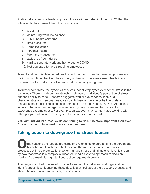Additionally, a financial leadership team I work with reported in June of 2021 that the following factors caused them the most stress.

- 1. Workload
- 2. Maintaining work-life balance
- 3. COVID health concerns
- 4. Time pressures
- 5. Home life issues
- 6. Personal health
- 7. Poor time management
- 8. Lack of self-confidence
- 9. Hard to separate work and home due to COVID
- 10. Not equipped to help struggling employees

Taken together, this data underlines the fact that now more than ever, employees are having a hard time checking their anxiety at the door, because stress bleeds into all dimensions of an individual's life, and work is certainly a big one.

To further complicate the dynamics of stress, not all employees experience stress in the same way. There is a distinct relationship between an individual's perception of stress and their ability to cope. Research suggests worker's experience, individual characteristics and personal resources can influence how she or he interprets and manages the specific conditions and demands of the job (Sahoo, 2016, p. 2). Thus, a situation that one person regards as motivating may cause another person to experience extreme stress. For example, an extrovert may be motivated working with other people and an introvert may find this same scenario stressful.

**Yet, with individual stress levels continuing to rise, it is more important than ever for companies to face workplace stress head on.**

# **Taking action to downgrade the stress tsunami**

rganizations and people are complex systems, so understanding the person and his or her relationships with others and the work environment and work processes will help organizations better manage stress and mitigate its risks. It is clear by now that stress is a complex subject requiring a systems approach to decision making. As a result, taking intentional action requires discovery.

The diagnostic chart presented in Table 1 can help the individual and organization identify stress risks. Identifying these risks is a critical part of the discovery process and should be used to inform the design of solutions.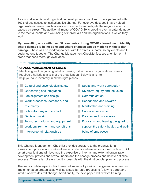As a social scientist and organization development consultant, I have partnered with 100's of businesses to institutionalize change. For over two decades I have helped organizations create healthier work environments and mitigate the negative effects caused by stress. The additional impact of COVID-19 is creating even greater damage to the mental health and well-being of individuals and the organizations in which they work.

**My consulting work with over 30 companies during COVID allowed me to identify where damage is being done and where changes can be made to mitigate that damage.** There was no roadmap to deal with the stress tsunami, so my clients and I designed one together. The Change Management Checklist focuses attention on 17 areas that need thorough evaluation.

#### **CHANGE MANAGEMENT CHECKLIST**

Identifying and diagnosing what is causing individual and organizational stress requires a holistic analysis of the organization. Below is a list to help you take inventory in all the right places.

- **Cultural and psychological safety**
- **Conboarding and integration**
- **Job alignment and design**
- **Work processes, demands, and** role clarity
- **Job autonomy and control**
- **Decision making**
- **Tools, technology, and equipment**
- **Work environment and conditions**
- **Interpersonal relationships**
- Social and work connection
- **Diversity, equity and inclusion**
- **Communication**
- Recognition and rewards
- **Mentorship and training**
- **Career advancement**
- **Policies and procedures**
- **Programs, and training designed to** support the safety, health, and wellbeing of employees

This Change Management Checklist provides structure to the organizational assessment process and makes it easier to identify where action should be taken. Still, smart organizations will leverage the expertise of internal and external organization development professionals who understand the change process and how to optimize success. Change is not easy, but it is possible with the right people, plan, and process.

The second whitepaper in this three-part series will provide change management and implementation strategies as well as a step-by-step process to follow to adopt and institutionalize desired change. Additionally, the next paper will explore training

**Empower Health America, 2021 11 11 11 11**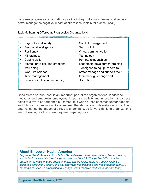programs progressive organizations provide to help individuals, teams, and leaders better manage the negative impact of stress (see Table 5 for a sneak peak).

#### Table 5. Training Offered at Progressive Organizations

- Psychological safety
- Emotional intelligence
- Resiliency
- Mindfulness
- Coping skills
- Mental, physical, and emotional well-being
- Work-life balance
- Time management
- Diversity, inclusion, and equity
- Conflict management
- Team building
- Virtual communication
- **Technology**
- Remote relationships
- Leadership development training – designed to equip leaders to better manage and support their team through change and disruption

Good stress or "eustress" is an important part of the organizational landscape. It motivates and empowers employees, it sparks creativity and innovation, and stress helps to elevate performance outcomes. It is when stress becomes unmanageable and it hits an organization like a tsunami, that damage and devastation occur. The data validating the impact of stress is undeniable, so forward-thinking organizations are not waiting for the storm they are preparing for it.

### **About Empower Health America**

*Empower Health America, founded by Terrie Reeves, helps organizations, leaders, teams, and individuals navigate the change process, and our 5P Change Model™ provides framework to make change adoption easier and possible. Terrie is a social scientist, seasoned consultant, coach, and educator who has designed and implemented over 200 programs focused on organizational change. Visit [EmpowerHealthAmerica.com](http://EmpowerHealthAmerica.com) today.*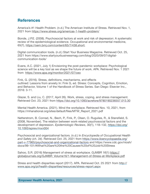# **References**

America's #1 Health Problem. (n.d.) The American Institute of Stress. Retrieved Nov. 1, 2021 from <https://www.stress.org/americas-1-health-problem/>

Bonde, J.P.E. (2008). Psychosocial factors at work and risk of depression: A systematic review of the epidemiological evidence. Occupational and environmental medicine, 65(7), [https://oem.bmj.com/content/65/7/438.short;](https://oem.bmj.com/content/65/7/438.short)

Digital communication tools. (n.d.) Start Your Business Magazine. Retrieved Oct. 25, 2021 from https://www.startyourbusinessmag.com/blog/2020/09/07/digitalcommunication-tools/

Evans, A.C. (2021, July 1) Envisioning the post-pandemic workplace: Psychological science will be a key tool as we shape the future of work. APA. Retrieved Nov. 1 2021 from <https://www.apa.org/monitor/2021/07/ceo>

Fink, G. (2016). Stress, definitions, mechanisms, and effects outlined: Lessons from anxiety In: Fink G, ed. Stress: Concepts, Cognition, Emotion, and Behavior, Volume 1 of the Handbook of Stress Series. San Diego: Elsevier Inc., 2016: 3-11.

Glazer, S. and Liu, C. (2017, April 26). Work, stress, coping, and stress management. Retrieved Oct. 23, 2021 from<https://doi.org/10.1093/acrefore/9780190236557.013.30>

Mental Health America. (2021). Mind the workplace. Retrieved Nov. 10, 2021, from https://mhanational.org/sites/default/files/MTW\_Report\_2021.pdf

Netterstrom, B. Conrad, N., Bech, P., Fink, P., Olsen, O. Rugulies, R., & Stansfield, S. (2008, November). The relation between work-related psychosocial factors and the development of depression. *Epidemiologic Reviews*, 30(1), 118–132, [https://doi.org/](https://doi.org/10.1093/epirev/mxn004) [10.1093/epirev/mxn004](https://doi.org/10.1093/epirev/mxn004)

Psychosocial and organizational factors. (n.d.) In *Encyclopedia of Occupational Health and Safety (ch. 34)*[. Retrieved Oct. 25, 2021 from https://www.iloencyclopaedia.org/](https://www.iloencyclopaedia.org/part-v-77965/psychosocial-and-organizational-factors) [part-v-77965/psychosocial-and-organizational-factors](https://www.iloencyclopaedia.org/part-v-77965/psychosocial-and-organizational-factors) and https://www.cdc.gov/niosh/ docs/99-101/#What%20are%20the%20Causes%20of%20Job%20Stress

Sahoo, S.R. (2016) Management of stress at workplace. *GJMBR 16*(1) [https://](https://globaljournals.org/GJMBR_Volume16/1-Management-of-Stress-at-Workplace.pdf) [globaljournals.org/GJMBR\\_Volume16/1-Management-of-Stress-at-Workplace.pdf](https://globaljournals.org/GJMBR_Volume16/1-Management-of-Stress-at-Workplace.pdf)

Stress and health disparities report (2017). APA. Retrieved Oct. 25 2021 from [http://](http://www.apa.org/pi/health-disparities/resources/stress-report.aspx) [www.apa.org/pi/health-disparities/resources/stress-report.aspx](http://www.apa.org/pi/health-disparities/resources/stress-report.aspx)